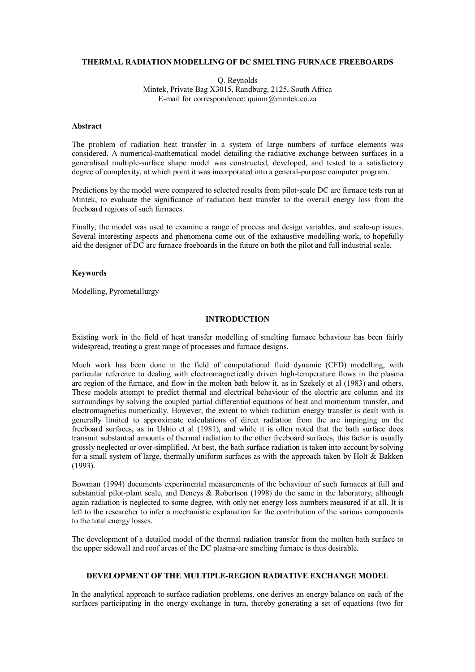## **THERMAL RADIATION MODELLING OF DC SMELTING FURNACE FREEBOARDS**

Q. Reynolds Mintek, Private Bag X3015, Randburg, 2125, South Africa E-mail for correspondence: quinnr@mintek.co.za

## **Abstract**

The problem of radiation heat transfer in a system of large numbers of surface elements was considered. A numerical-mathematical model detailing the radiative exchange between surfaces in a generalised multiple-surface shape model was constructed, developed, and tested to a satisfactory degree of complexity, at which point it was incorporated into a general-purpose computer program.

Predictions by the model were compared to selected results from pilot-scale DC arc furnace tests run at Mintek, to evaluate the significance of radiation heat transfer to the overall energy loss from the freeboard regions of such furnaces.

Finally, the model was used to examine a range of process and design variables, and scale-up issues. Several interesting aspects and phenomena come out of the exhaustive modelling work, to hopefully aid the designer of DC arc furnace freeboards in the future on both the pilot and full industrial scale.

#### **Keywords**

Modelling, Pyrometallurgy

# **INTRODUCTION**

Existing work in the field of heat transfer modelling of smelting furnace behaviour has been fairly widespread, treating a great range of processes and furnace designs.

Much work has been done in the field of computational fluid dynamic (CFD) modelling, with particular reference to dealing with electromagnetically driven high-temperature flows in the plasma arc region of the furnace, and flow in the molten bath below it, as in Szekely et al (1983) and others. These models attempt to predict thermal and electrical behaviour of the electric arc column and its surroundings by solving the coupled partial differential equations of heat and momentum transfer, and electromagnetics numerically. However, the extent to which radiation energy transfer is dealt with is generally limited to approximate calculations of direct radiation from the arc impinging on the freeboard surfaces, as in Ushio et al (1981), and while it is often noted that the bath surface does transmit substantial amounts of thermal radiation to the other freeboard surfaces, this factor is usually grossly neglected or over-simplified. At best, the bath surface radiation is taken into account by solving for a small system of large, thermally uniform surfaces as with the approach taken by Holt & Bakken (1993).

Bowman (1994) documents experimental measurements of the behaviour of such furnaces at full and substantial pilot-plant scale, and Deneys & Robertson (1998) do the same in the laboratory, although again radiation is neglected to some degree, with only net energy loss numbers measured if at all. It is left to the researcher to infer a mechanistic explanation for the contribution of the various components to the total energy losses.

The development of a detailed model of the thermal radiation transfer from the molten bath surface to the upper sidewall and roof areas of the DC plasma-arc smelting furnace is thus desirable.

#### **DEVELOPMENT OF THE MULTIPLE-REGION RADIATIVE EXCHANGE MODEL**

In the analytical approach to surface radiation problems, one derives an energy balance on each of the surfaces participating in the energy exchange in turn, thereby generating a set of equations (two for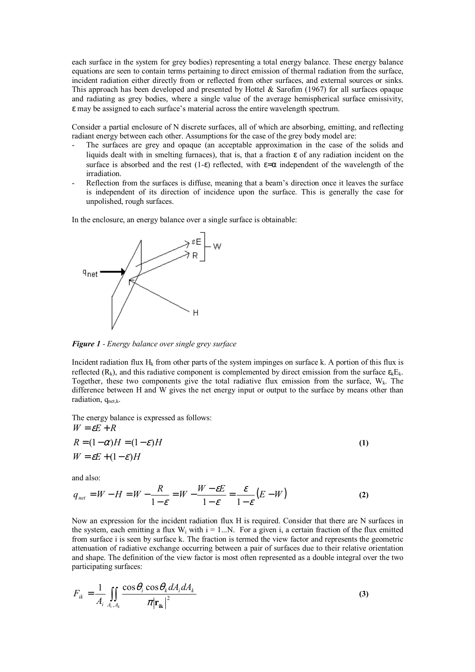each surface in the system for grey bodies) representing a total energy balance. These energy balance equations are seen to contain terms pertaining to direct emission of thermal radiation from the surface, incident radiation either directly from or reflected from other surfaces, and external sources or sinks. This approach has been developed and presented by Hottel & Sarofim (1967) for all surfaces opaque and radiating as grey bodies, where a single value of the average hemispherical surface emissivity, ε may be assigned to each surface's material across the entire wavelength spectrum.

Consider a partial enclosure of N discrete surfaces, all of which are absorbing, emitting, and reflecting radiant energy between each other. Assumptions for the case of the grey body model are:

- The surfaces are grey and opaque (an acceptable approximation in the case of the solids and liquids dealt with in smelting furnaces), that is, that a fraction ε of any radiation incident on the surface is absorbed and the rest (1-ε) reflected, with  $\varepsilon = \alpha$  independent of the wavelength of the irradiation.
- Reflection from the surfaces is diffuse, meaning that a beam's direction once it leaves the surface is independent of its direction of incidence upon the surface. This is generally the case for unpolished, rough surfaces.

In the enclosure, an energy balance over a single surface is obtainable:



*Figure 1 - Energy balance over single grey surface* 

Incident radiation flux  $H_k$  from other parts of the system impinges on surface k. A portion of this flux is reflected ( $R_k$ ), and this radiative component is complemented by direct emission from the surface  $\epsilon_k E_k$ . Together, these two components give the total radiative flux emission from the surface,  $W_k$ . The difference between H and W gives the net energy input or output to the surface by means other than radiation,  $q_{net,k}$ .

The energy balance is expressed as follows:  $W = \varepsilon E + R$ 

$$
R = (1 - \alpha)H = (1 - \varepsilon)H
$$
  
\n
$$
W = \varepsilon E + (1 - \varepsilon)H
$$
\n(1)

and also:

$$
q_{\text{net}} = W - H = W - \frac{R}{1 - \varepsilon} = W - \frac{W - \varepsilon E}{1 - \varepsilon} = \frac{\varepsilon}{1 - \varepsilon} (E - W)
$$
 (2)

Now an expression for the incident radiation flux H is required. Consider that there are N surfaces in the system, each emitting a flux  $W_i$  with  $i = 1...N$ . For a given i, a certain fraction of the flux emitted from surface i is seen by surface k. The fraction is termed the view factor and represents the geometric attenuation of radiative exchange occurring between a pair of surfaces due to their relative orientation and shape. The definition of the view factor is most often represented as a double integral over the two participating surfaces:

$$
F_{ik} = \frac{1}{A_i} \iint_{A_i, A_k} \frac{\cos \theta_i \cos \theta_k dA_i dA_k}{\pi |\mathbf{r}_{ik}|^2}
$$
 (3)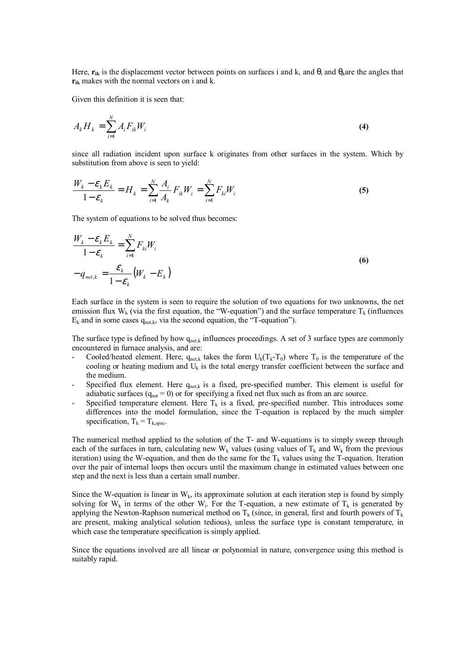Here,  $\mathbf{r}_{ik}$  is the displacement vector between points on surfaces i and k, and  $\theta_i$  and  $\theta_k$  are the angles that **rik** makes with the normal vectors on i and k.

Given this definition it is seen that:

$$
A_k H_k = \sum_{i=1}^N A_i F_{ik} W_i
$$
 (4)

since all radiation incident upon surface k originates from other surfaces in the system. Which by substitution from above is seen to yield:

$$
\frac{W_k - \varepsilon_k E_k}{1 - \varepsilon_k} = H_k = \sum_{i=1}^N \frac{A_i}{A_k} F_{ik} W_i = \sum_{i=1}^N F_{ki} W_i
$$
\n(5)

The system of equations to be solved thus becomes:

$$
\frac{W_k - \varepsilon_k E_k}{1 - \varepsilon_k} = \sum_{i=1}^N F_{ki} W_i
$$
  
-  $q_{net,k} = \frac{\varepsilon_k}{1 - \varepsilon_k} (W_k - E_k)$  (6)

Each surface in the system is seen to require the solution of two equations for two unknowns, the net emission flux W<sub>k</sub> (via the first equation, the "W-equation") and the surface temperature T<sub>k</sub> (influences  $E_k$  and in some cases  $q_{net,k}$ , via the second equation, the "T-equation").

The surface type is defined by how  $q_{\text{net},k}$  influences proceedings. A set of 3 surface types are commonly encountered in furnace analysis, and are:

- Cooled/heated element. Here,  $q_{\text{net,k}}$  takes the form  $U_k(T_k-T_0)$  where  $T_0$  is the temperature of the cooling or heating medium and  $U_k$  is the total energy transfer coefficient between the surface and the medium.
- Specified flux element. Here  $q_{\text{net,k}}$  is a fixed, pre-specified number. This element is useful for adiabatic surfaces  $(q_{net} = 0)$  or for specifying a fixed net flux such as from an arc source.
- Specified temperature element. Here  $T_k$  is a fixed, pre-specified number. This introduces some differences into the model formulation, since the T-equation is replaced by the much simpler specification,  $T_k = T_{k, \text{spec}}$ .

The numerical method applied to the solution of the T- and W-equations is to simply sweep through each of the surfaces in turn, calculating new  $W_k$  values (using values of  $T_k$  and  $W_k$  from the previous iteration) using the W-equation, and then do the same for the  $T_k$  values using the T-equation. Iteration over the pair of internal loops then occurs until the maximum change in estimated values between one step and the next is less than a certain small number.

Since the W-equation is linear in  $W_k$ , its approximate solution at each iteration step is found by simply solving for  $W_k$  in terms of the other W<sub>i</sub>. For the T-equation, a new estimate of T<sub>k</sub> is generated by applying the Newton-Raphson numerical method on  $T_k$  (since, in general, first and fourth powers of  $T_k$ are present, making analytical solution tedious), unless the surface type is constant temperature, in which case the temperature specification is simply applied.

Since the equations involved are all linear or polynomial in nature, convergence using this method is suitably rapid.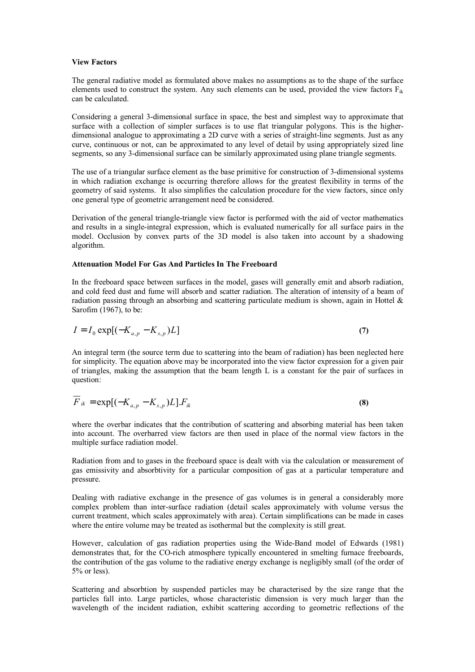#### **View Factors**

The general radiative model as formulated above makes no assumptions as to the shape of the surface elements used to construct the system. Any such elements can be used, provided the view factors  $F_{ik}$ can be calculated.

Considering a general 3-dimensional surface in space, the best and simplest way to approximate that surface with a collection of simpler surfaces is to use flat triangular polygons. This is the higherdimensional analogue to approximating a 2D curve with a series of straight-line segments. Just as any curve, continuous or not, can be approximated to any level of detail by using appropriately sized line segments, so any 3-dimensional surface can be similarly approximated using plane triangle segments.

The use of a triangular surface element as the base primitive for construction of 3-dimensional systems in which radiation exchange is occurring therefore allows for the greatest flexibility in terms of the geometry of said systems. It also simplifies the calculation procedure for the view factors, since only one general type of geometric arrangement need be considered.

Derivation of the general triangle-triangle view factor is performed with the aid of vector mathematics and results in a single-integral expression, which is evaluated numerically for all surface pairs in the model. Occlusion by convex parts of the 3D model is also taken into account by a shadowing algorithm.

## **Attenuation Model For Gas And Particles In The Freeboard**

In the freeboard space between surfaces in the model, gases will generally emit and absorb radiation, and cold feed dust and fume will absorb and scatter radiation. The alteration of intensity of a beam of radiation passing through an absorbing and scattering particulate medium is shown, again in Hottel  $\&$ Sarofim (1967), to be:

$$
I = I_0 \exp[(-K_{a,p} - K_{s,p})L] \tag{7}
$$

An integral term (the source term due to scattering into the beam of radiation) has been neglected here for simplicity. The equation above may be incorporated into the view factor expression for a given pair of triangles, making the assumption that the beam length L is a constant for the pair of surfaces in question:

$$
\overline{F}_{ik} = \exp[(-K_{a,p} - K_{s,p})L]F_{ik}
$$
\n(8)

where the overbar indicates that the contribution of scattering and absorbing material has been taken into account. The overbarred view factors are then used in place of the normal view factors in the multiple surface radiation model.

Radiation from and to gases in the freeboard space is dealt with via the calculation or measurement of gas emissivity and absorbtivity for a particular composition of gas at a particular temperature and pressure.

Dealing with radiative exchange in the presence of gas volumes is in general a considerably more complex problem than inter-surface radiation (detail scales approximately with volume versus the current treatment, which scales approximately with area). Certain simplifications can be made in cases where the entire volume may be treated as isothermal but the complexity is still great.

However, calculation of gas radiation properties using the Wide-Band model of Edwards (1981) demonstrates that, for the CO-rich atmosphere typically encountered in smelting furnace freeboards, the contribution of the gas volume to the radiative energy exchange is negligibly small (of the order of 5% or less).

Scattering and absorbtion by suspended particles may be characterised by the size range that the particles fall into. Large particles, whose characteristic dimension is very much larger than the wavelength of the incident radiation, exhibit scattering according to geometric reflections of the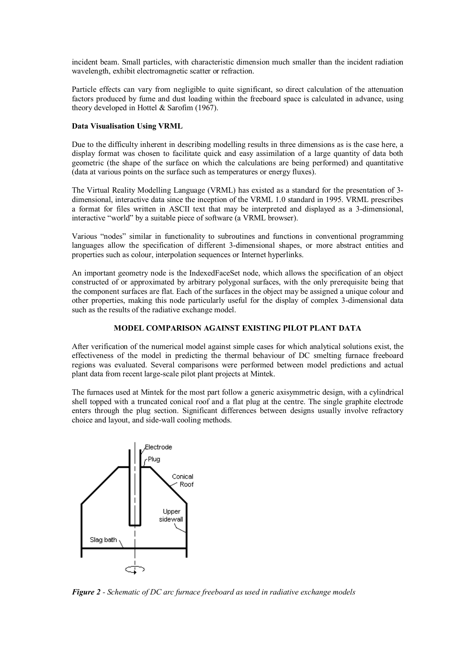incident beam. Small particles, with characteristic dimension much smaller than the incident radiation wavelength, exhibit electromagnetic scatter or refraction.

Particle effects can vary from negligible to quite significant, so direct calculation of the attenuation factors produced by fume and dust loading within the freeboard space is calculated in advance, using theory developed in Hottel & Sarofim (1967).

# **Data Visualisation Using VRML**

Due to the difficulty inherent in describing modelling results in three dimensions as is the case here, a display format was chosen to facilitate quick and easy assimilation of a large quantity of data both geometric (the shape of the surface on which the calculations are being performed) and quantitative (data at various points on the surface such as temperatures or energy fluxes).

The Virtual Reality Modelling Language (VRML) has existed as a standard for the presentation of 3 dimensional, interactive data since the inception of the VRML 1.0 standard in 1995. VRML prescribes a format for files written in ASCII text that may be interpreted and displayed as a 3-dimensional, interactive "world" by a suitable piece of software (a VRML browser).

Various "nodes" similar in functionality to subroutines and functions in conventional programming languages allow the specification of different 3-dimensional shapes, or more abstract entities and properties such as colour, interpolation sequences or Internet hyperlinks.

An important geometry node is the IndexedFaceSet node, which allows the specification of an object constructed of or approximated by arbitrary polygonal surfaces, with the only prerequisite being that the component surfaces are flat. Each of the surfaces in the object may be assigned a unique colour and other properties, making this node particularly useful for the display of complex 3-dimensional data such as the results of the radiative exchange model.

# **MODEL COMPARISON AGAINST EXISTING PILOT PLANT DATA**

After verification of the numerical model against simple cases for which analytical solutions exist, the effectiveness of the model in predicting the thermal behaviour of DC smelting furnace freeboard regions was evaluated. Several comparisons were performed between model predictions and actual plant data from recent large-scale pilot plant projects at Mintek.

The furnaces used at Mintek for the most part follow a generic axisymmetric design, with a cylindrical shell topped with a truncated conical roof and a flat plug at the centre. The single graphite electrode enters through the plug section. Significant differences between designs usually involve refractory choice and layout, and side-wall cooling methods.



*Figure 2 - Schematic of DC arc furnace freeboard as used in radiative exchange models*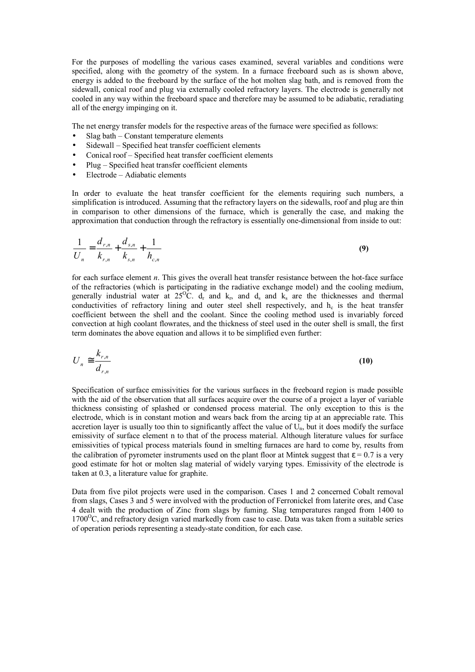For the purposes of modelling the various cases examined, several variables and conditions were specified, along with the geometry of the system. In a furnace freeboard such as is shown above, energy is added to the freeboard by the surface of the hot molten slag bath, and is removed from the sidewall, conical roof and plug via externally cooled refractory layers. The electrode is generally not cooled in any way within the freeboard space and therefore may be assumed to be adiabatic, reradiating all of the energy impinging on it.

The net energy transfer models for the respective areas of the furnace were specified as follows:

- Slag bath  $-$  Constant temperature elements
- Sidewall Specified heat transfer coefficient elements
- Conical roof Specified heat transfer coefficient elements
- Plug  $-$  Specified heat transfer coefficient elements
- $\bullet$  Electrode Adiabatic elements

In order to evaluate the heat transfer coefficient for the elements requiring such numbers, a simplification is introduced. Assuming that the refractory layers on the sidewalls, roof and plug are thin in comparison to other dimensions of the furnace, which is generally the case, and making the approximation that conduction through the refractory is essentially one-dimensional from inside to out:

$$
\frac{1}{U_n} = \frac{d_{r,n}}{k_{r,n}} + \frac{d_{s,n}}{k_{s,n}} + \frac{1}{h_{c,n}}
$$
\n(9)

for each surface element *n*. This gives the overall heat transfer resistance between the hot-face surface of the refractories (which is participating in the radiative exchange model) and the cooling medium, generally industrial water at  $25^{\circ}$ C.  $d_r$  and  $k_r$ , and  $d_s$  and  $k_s$  are the thicknesses and thermal conductivities of refractory lining and outer steel shell respectively, and h<sub>c</sub> is the heat transfer coefficient between the shell and the coolant. Since the cooling method used is invariably forced convection at high coolant flowrates, and the thickness of steel used in the outer shell is small, the first term dominates the above equation and allows it to be simplified even further:

$$
U_n \cong \frac{k_{r,n}}{d_{r,n}} \tag{10}
$$

Specification of surface emissivities for the various surfaces in the freeboard region is made possible with the aid of the observation that all surfaces acquire over the course of a project a layer of variable thickness consisting of splashed or condensed process material. The only exception to this is the electrode, which is in constant motion and wears back from the arcing tip at an appreciable rate. This accretion layer is usually too thin to significantly affect the value of  $U_n$ , but it does modify the surface emissivity of surface element n to that of the process material. Although literature values for surface emissivities of typical process materials found in smelting furnaces are hard to come by, results from the calibration of pyrometer instruments used on the plant floor at Mintek suggest that  $\varepsilon = 0.7$  is a very good estimate for hot or molten slag material of widely varying types. Emissivity of the electrode is taken at 0.3, a literature value for graphite.

Data from five pilot projects were used in the comparison. Cases 1 and 2 concerned Cobalt removal from slags, Cases 3 and 5 were involved with the production of Ferronickel from laterite ores, and Case 4 dealt with the production of Zinc from slags by fuming. Slag temperatures ranged from 1400 to  $1700^{\circ}$ C, and refractory design varied markedly from case to case. Data was taken from a suitable series of operation periods representing a steady-state condition, for each case.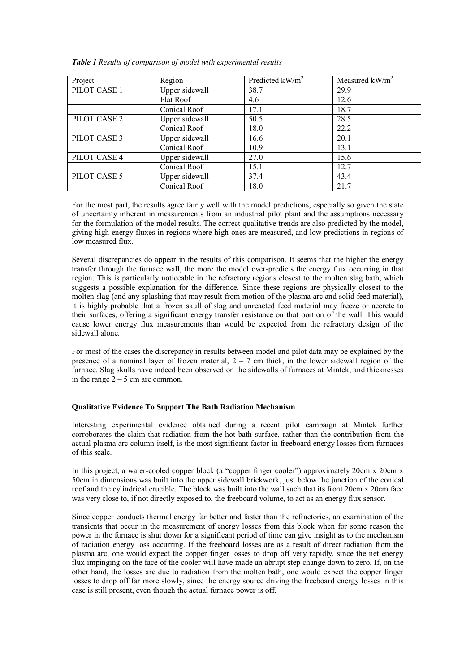| Project      | Region         | Predicted $kW/m^2$ | Measured $kW/m^2$ |
|--------------|----------------|--------------------|-------------------|
| PILOT CASE 1 | Upper sidewall | 38.7               | 29.9              |
|              | Flat Roof      | 4.6                | 12.6              |
|              | Conical Roof   | 17.1               | 18.7              |
| PILOT CASE 2 | Upper sidewall | 50.5               | 28.5              |
|              | Conical Roof   | 18.0               | 22.2              |
| PILOT CASE 3 | Upper sidewall | 16.6               | 20.1              |
|              | Conical Roof   | 10.9               | 13.1              |
| PILOT CASE 4 | Upper sidewall | 27.0               | 15.6              |
|              | Conical Roof   | 15.1               | 12.7              |
| PILOT CASE 5 | Upper sidewall | 37.4               | 43.4              |
|              | Conical Roof   | 18.0               | 21.7              |

*Table 1 Results of comparison of model with experimental results* 

For the most part, the results agree fairly well with the model predictions, especially so given the state of uncertainty inherent in measurements from an industrial pilot plant and the assumptions necessary for the formulation of the model results. The correct qualitative trends are also predicted by the model, giving high energy fluxes in regions where high ones are measured, and low predictions in regions of low measured flux.

Several discrepancies do appear in the results of this comparison. It seems that the higher the energy transfer through the furnace wall, the more the model over-predicts the energy flux occurring in that region. This is particularly noticeable in the refractory regions closest to the molten slag bath, which suggests a possible explanation for the difference. Since these regions are physically closest to the molten slag (and any splashing that may result from motion of the plasma arc and solid feed material), it is highly probable that a frozen skull of slag and unreacted feed material may freeze or accrete to their surfaces, offering a significant energy transfer resistance on that portion of the wall. This would cause lower energy flux measurements than would be expected from the refractory design of the sidewall alone.

For most of the cases the discrepancy in results between model and pilot data may be explained by the presence of a nominal layer of frozen material,  $2 - 7$  cm thick, in the lower sidewall region of the furnace. Slag skulls have indeed been observed on the sidewalls of furnaces at Mintek, and thicknesses in the range  $2 - 5$  cm are common.

# **Qualitative Evidence To Support The Bath Radiation Mechanism**

Interesting experimental evidence obtained during a recent pilot campaign at Mintek further corroborates the claim that radiation from the hot bath surface, rather than the contribution from the actual plasma arc column itself, is the most significant factor in freeboard energy losses from furnaces of this scale.

In this project, a water-cooled copper block (a "copper finger cooler") approximately  $20 \text{cm} x 20 \text{cm} x$ 50cm in dimensions was built into the upper sidewall brickwork, just below the junction of the conical roof and the cylindrical crucible. The block was built into the wall such that its front 20cm x 20cm face was very close to, if not directly exposed to, the freeboard volume, to act as an energy flux sensor.

Since copper conducts thermal energy far better and faster than the refractories, an examination of the transients that occur in the measurement of energy losses from this block when for some reason the power in the furnace is shut down for a significant period of time can give insight as to the mechanism of radiation energy loss occurring. If the freeboard losses are as a result of direct radiation from the plasma arc, one would expect the copper finger losses to drop off very rapidly, since the net energy flux impinging on the face of the cooler will have made an abrupt step change down to zero. If, on the other hand, the losses are due to radiation from the molten bath, one would expect the copper finger losses to drop off far more slowly, since the energy source driving the freeboard energy losses in this case is still present, even though the actual furnace power is off.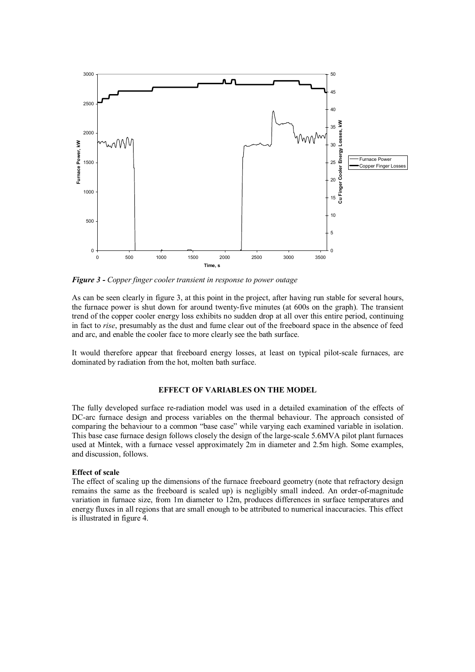

*Figure 3 - Copper finger cooler transient in response to power outage* 

As can be seen clearly in figure 3, at this point in the project, after having run stable for several hours, the furnace power is shut down for around twenty-five minutes (at 600s on the graph). The transient trend of the copper cooler energy loss exhibits no sudden drop at all over this entire period, continuing in fact to *rise*, presumably as the dust and fume clear out of the freeboard space in the absence of feed and arc, and enable the cooler face to more clearly see the bath surface.

It would therefore appear that freeboard energy losses, at least on typical pilot-scale furnaces, are dominated by radiation from the hot, molten bath surface.

# **EFFECT OF VARIABLES ON THE MODEL**

The fully developed surface re-radiation model was used in a detailed examination of the effects of DC-arc furnace design and process variables on the thermal behaviour. The approach consisted of comparing the behaviour to a common "base case" while varying each examined variable in isolation. This base case furnace design follows closely the design of the large-scale 5.6MVA pilot plant furnaces used at Mintek, with a furnace vessel approximately 2m in diameter and 2.5m high. Some examples, and discussion, follows.

## **Effect of scale**

The effect of scaling up the dimensions of the furnace freeboard geometry (note that refractory design remains the same as the freeboard is scaled up) is negligibly small indeed. An order-of-magnitude variation in furnace size, from 1m diameter to 12m, produces differences in surface temperatures and energy fluxes in all regions that are small enough to be attributed to numerical inaccuracies. This effect is illustrated in figure 4.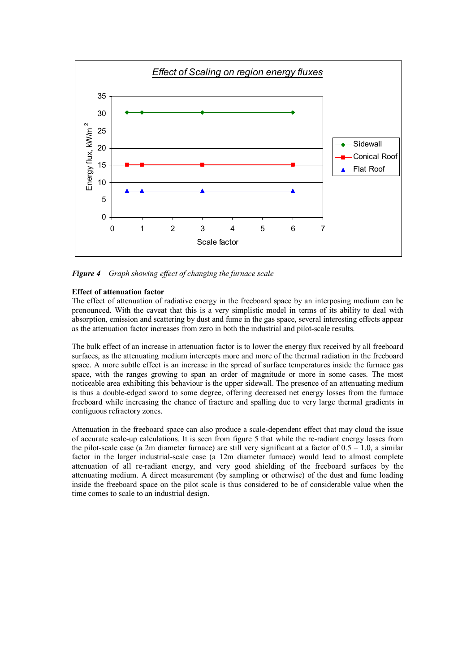

*Figure 4 – Graph showing effect of changing the furnace scale* 

# **Effect of attenuation factor**

The effect of attenuation of radiative energy in the freeboard space by an interposing medium can be pronounced. With the caveat that this is a very simplistic model in terms of its ability to deal with absorption, emission and scattering by dust and fume in the gas space, several interesting effects appear as the attenuation factor increases from zero in both the industrial and pilot-scale results.

The bulk effect of an increase in attenuation factor is to lower the energy flux received by all freeboard surfaces, as the attenuating medium intercepts more and more of the thermal radiation in the freeboard space. A more subtle effect is an increase in the spread of surface temperatures inside the furnace gas space, with the ranges growing to span an order of magnitude or more in some cases. The most noticeable area exhibiting this behaviour is the upper sidewall. The presence of an attenuating medium is thus a double-edged sword to some degree, offering decreased net energy losses from the furnace freeboard while increasing the chance of fracture and spalling due to very large thermal gradients in contiguous refractory zones.

Attenuation in the freeboard space can also produce a scale-dependent effect that may cloud the issue of accurate scale-up calculations. It is seen from figure 5 that while the re-radiant energy losses from the pilot-scale case (a 2m diameter furnace) are still very significant at a factor of  $0.5 - 1.0$ , a similar factor in the larger industrial-scale case (a 12m diameter furnace) would lead to almost complete attenuation of all re-radiant energy, and very good shielding of the freeboard surfaces by the attenuating medium. A direct measurement (by sampling or otherwise) of the dust and fume loading inside the freeboard space on the pilot scale is thus considered to be of considerable value when the time comes to scale to an industrial design.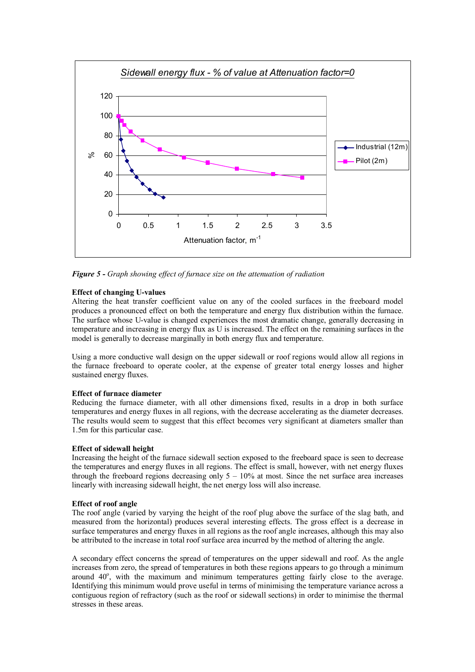

*Figure 5 - Graph showing effect of furnace size on the attenuation of radiation* 

# **Effect of changing U-values**

Altering the heat transfer coefficient value on any of the cooled surfaces in the freeboard model produces a pronounced effect on both the temperature and energy flux distribution within the furnace. The surface whose U-value is changed experiences the most dramatic change, generally decreasing in temperature and increasing in energy flux as U is increased. The effect on the remaining surfaces in the model is generally to decrease marginally in both energy flux and temperature.

Using a more conductive wall design on the upper sidewall or roof regions would allow all regions in the furnace freeboard to operate cooler, at the expense of greater total energy losses and higher sustained energy fluxes.

## **Effect of furnace diameter**

Reducing the furnace diameter, with all other dimensions fixed, results in a drop in both surface temperatures and energy fluxes in all regions, with the decrease accelerating as the diameter decreases. The results would seem to suggest that this effect becomes very significant at diameters smaller than 1.5m for this particular case.

# **Effect of sidewall height**

Increasing the height of the furnace sidewall section exposed to the freeboard space is seen to decrease the temperatures and energy fluxes in all regions. The effect is small, however, with net energy fluxes through the freeboard regions decreasing only  $5 - 10\%$  at most. Since the net surface area increases linearly with increasing sidewall height, the net energy loss will also increase.

## **Effect of roof angle**

The roof angle (varied by varying the height of the roof plug above the surface of the slag bath, and measured from the horizontal) produces several interesting effects. The gross effect is a decrease in surface temperatures and energy fluxes in all regions as the roof angle increases, although this may also be attributed to the increase in total roof surface area incurred by the method of altering the angle.

A secondary effect concerns the spread of temperatures on the upper sidewall and roof. As the angle increases from zero, the spread of temperatures in both these regions appears to go through a minimum around 40°, with the maximum and minimum temperatures getting fairly close to the average. Identifying this minimum would prove useful in terms of minimising the temperature variance across a contiguous region of refractory (such as the roof or sidewall sections) in order to minimise the thermal stresses in these areas.